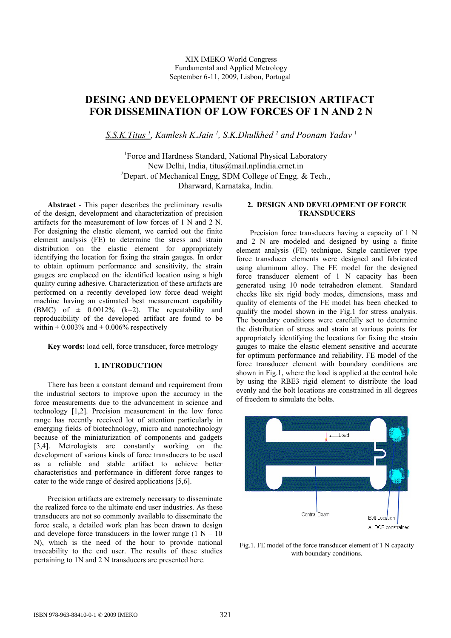# **DESING AND DEVELOPMENT OF PRECISION ARTIFACT FOR DISSEMINATION OF LOW FORCES OF 1 N AND 2 N**

 *S.S.K.Titus <sup>1</sup> , Kamlesh K.Jain <sup>1</sup> , S.K.Dhulkhed <sup>2</sup> and Poonam Yadav* <sup>1</sup>

<sup>1</sup>Force and Hardness Standard, National Physical Laboratory New Delhi, India, titus@mail.nplindia.ernet.in <sup>2</sup>Depart. of Mechanical Engg, SDM College of Engg.  $\&$  Tech., Dharward, Karnataka, India.

**Abstract** - This paper describes the preliminary results of the design, development and characterization of precision artifacts for the measurement of low forces of 1 N and 2 N. For designing the elastic element, we carried out the finite element analysis (FE) to determine the stress and strain distribution on the elastic element for appropriately identifying the location for fixing the strain gauges. In order to obtain optimum performance and sensitivity, the strain gauges are emplaced on the identified location using a high quality curing adhesive. Characterization of these artifacts are performed on a recently developed low force dead weight machine having an estimated best measurement capability (BMC) of  $\pm$  0.0012% (k=2). The repeatability and reproducibility of the developed artifact are found to be within  $\pm 0.003\%$  and  $\pm 0.006\%$  respectively

**Key words:** load cell, force transducer, force metrology

## **1. INTRODUCTION**

There has been a constant demand and requirement from the industrial sectors to improve upon the accuracy in the force measurements due to the advancement in science and technology [1,2]. Precision measurement in the low force range has recently received lot of attention particularly in emerging fields of biotechnology, micro and nanotechnology because of the miniaturization of components and gadgets [3,4]. Metrologists are constantly working on the development of various kinds of force transducers to be used as a reliable and stable artifact to achieve better characteristics and performance in different force ranges to cater to the wide range of desired applications [5,6].

Precision artifacts are extremely necessary to disseminate the realized force to the ultimate end user industries. As these transducers are not so commonly available to disseminate the force scale, a detailed work plan has been drawn to design and develope force transducers in the lower range  $(1 N - 10)$ N), which is the need of the hour to provide national traceability to the end user. The results of these studies pertaining to 1N and 2 N transducers are presented here.

## **2. DESIGN AND DEVELOPMENT OF FORCE TRANSDUCERS**

Precision force transducers having a capacity of 1 N and 2 N are modeled and designed by using a finite element analysis (FE) technique. Single cantilever type force transducer elements were designed and fabricated using aluminum alloy. The FE model for the designed force transducer element of 1 N capacity has been generated using 10 node tetrahedron element. Standard checks like six rigid body modes, dimensions, mass and quality of elements of the FE model has been checked to qualify the model shown in the Fig.1 for stress analysis. The boundary conditions were carefully set to determine the distribution of stress and strain at various points for appropriately identifying the locations for fixing the strain gauges to make the elastic element sensitive and accurate for optimum performance and reliability. FE model of the force transducer element with boundary conditions are shown in Fig.1, where the load is applied at the central hole by using the RBE3 rigid element to distribute the load evenly and the bolt locations are constrained in all degrees of freedom to simulate the bolts.



Fig.1. FE model of the force transducer element of 1 N capacity with boundary conditions.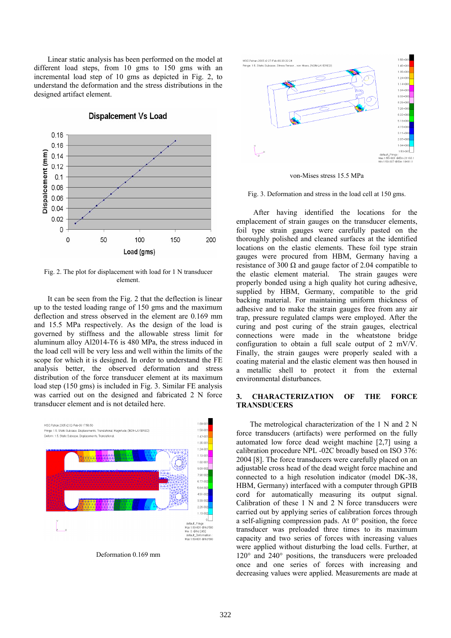Linear static analysis has been performed on the model at different load steps, from 10 gms to 150 gms with an incremental load step of 10 gms as depicted in Fig. 2, to understand the deformation and the stress distributions in the designed artifact element.



**Dispalcement Vs Load** 

Fig. 2. The plot for displacement with load for 1 N transducer element.

It can be seen from the Fig. 2 that the deflection is linear up to the tested loading range of 150 gms and the maximum deflection and stress observed in the element are 0.169 mm and 15.5 MPa respectively. As the design of the load is governed by stiffness and the allowable stress limit for aluminum alloy Al2014-T6 is 480 MPa, the stress induced in the load cell will be very less and well within the limits of the scope for which it is designed. In order to understand the FE analysis better, the observed deformation and stress distribution of the force transducer element at its maximum load step (150 gms) is included in Fig. 3. Similar FE analysis was carried out on the designed and fabricated 2 N force transducer element and is not detailed here.



Deformation 0.169 mm



von-Mises stress 15.5 MPa

Fig. 3. Deformation and stress in the load cell at 150 gms.

After having identified the locations for the emplacement of strain gauges on the transducer elements, foil type strain gauges were carefully pasted on the thoroughly polished and cleaned surfaces at the identified locations on the elastic elements. These foil type strain gauges were procured from HBM, Germany having a resistance of 300  $\Omega$  and gauge factor of 2.04 compatible to the elastic element material. The strain gauges were properly bonded using a high quality hot curing adhesive, supplied by HBM, Germany, compatible to the grid backing material. For maintaining uniform thickness of adhesive and to make the strain gauges free from any air trap, pressure regulated clamps were employed. After the curing and post curing of the strain gauges, electrical connections were made in the wheatstone bridge configuration to obtain a full scale output of 2 mV/V. Finally, the strain gauges were properly sealed with a coating material and the elastic element was then housed in a metallic shell to protect it from the external environmental disturbances.

# **3. CHARACTERIZATION OF THE FORCE TRANSDUCERS**

The metrological characterization of the 1 N and 2 N force transducers (artifacts) were performed on the fully automated low force dead weight machine [2,7] using a calibration procedure NPL -02C broadly based on ISO 376: 2004 [8]. The force transducers were carefully placed on an adjustable cross head of the dead weight force machine and connected to a high resolution indicator (model DK-38, HBM, Germany) interfaced with a computer through GPIB cord for automatically measuring its output signal. Calibration of these 1 N and 2 N force transducers were carried out by applying series of calibration forces through a self-aligning compression pads. At 0° position, the force transducer was preloaded three times to its maximum capacity and two series of forces with increasing values were applied without disturbing the load cells. Further, at 120° and 240° positions, the transducers were preloaded once and one series of forces with increasing and decreasing values were applied. Measurements are made at